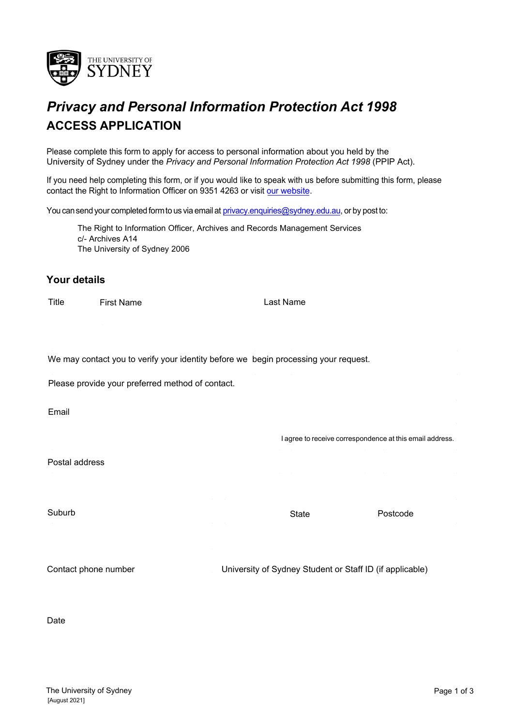

# *Privacy and Personal Information Protection Act 1998* **ACCESS APPLICATION**

Please complete this form to apply for access to personal information about you held by the University of Sydney under the *Privacy and Personal Information Protection Act 1998* (PPIP Act).

[If you nee](https://sydney.edu.au/arms/gipa)d help completing this form, or if you would like to speak with us before submitting this form, please contact the Right to Information Officer on 9351 4263 or visit our website.

You can send your completed form to us via email at [privacy.enquiries@sydney.edu.au](mailto:privacy.enquiries@sydney.edu.au)[, or](mailto:gipa.enquiries@sydney.edu.au) by post to:

The Right to Information Officer, Archives and Records Management Services c/- Archives A14 The University of Sydney 2006

#### **Your details**

Title First Name Last Name

We may contact you to verify your identity before we begin processing your request.

Please provide your preferred method of contact.

Email

Postal address

Suburb **Suburb Suburb State Postcode** 

I agree to receive correspondence at this email address.

Contact phone number University of Sydney Student or Staff ID (if applicable)

Date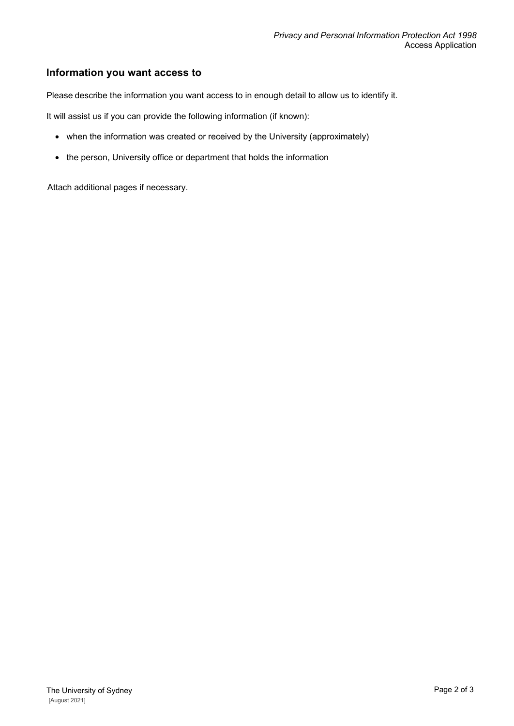## **Information you want access to**

Please describe the information you want access to in enough detail to allow us to identify it.

It will assist us if you can provide the following information (if known):

- when the information was created or received by the University (approximately)
- the person, University office or department that holds the information

Attach additional pages if necessary.